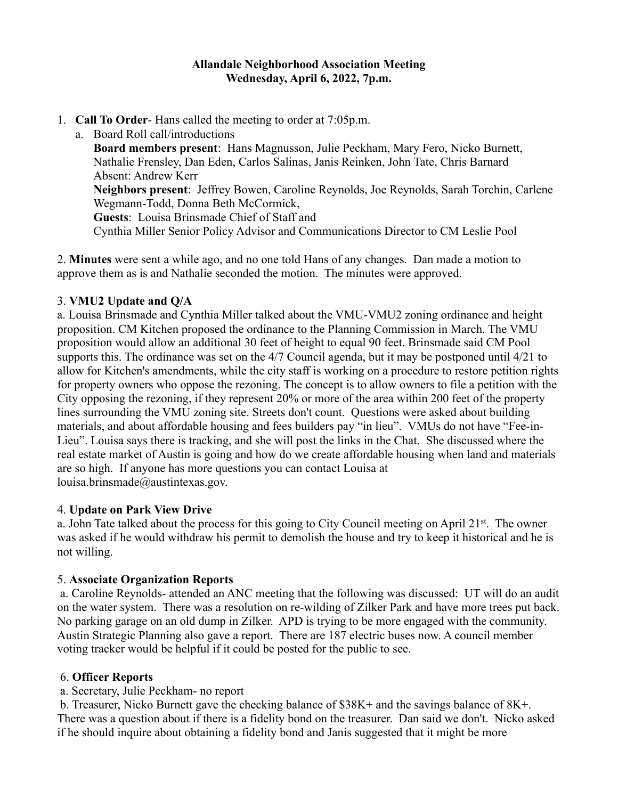## **Allandale Neighborhood Association Meeting Wednesday, April 6, 2022, 7p.m.**

1. **Call To Order**- Hans called the meeting to order at 7:05p.m.

a. Board Roll call/introductions **Board members present**: Hans Magnusson, Julie Peckham, Mary Fero, Nicko Burnett, Nathalie Frensley, Dan Eden, Carlos Salinas, Janis Reinken, John Tate, Chris Barnard Absent: Andrew Kerr **Neighbors present**: Jeffrey Bowen, Caroline Reynolds, Joe Reynolds, Sarah Torchin, Carlene Wegmann-Todd, Donna Beth McCormick, **Guests**: Louisa Brinsmade Chief of Staff and Cynthia Miller Senior Policy Advisor and Communications Director to CM Leslie Pool

2. **Minutes** were sent a while ago, and no one told Hans of any changes. Dan made a motion to approve them as is and Nathalie seconded the motion. The minutes were approved.

# 3. **VMU2 Update and Q/A**

a. Louisa Brinsmade and Cynthia Miller talked about the VMU-VMU2 zoning ordinance and height proposition. CM Kitchen proposed the ordinance to the Planning Commission in March. The VMU proposition would allow an additional 30 feet of height to equal 90 feet. Brinsmade said CM Pool supports this. The ordinance was set on the 4/7 Council agenda, but it may be postponed until 4/21 to allow for Kitchen's amendments, while the city staff is working on a procedure to restore petition rights for property owners who oppose the rezoning. The concept is to allow owners to file a petition with the City opposing the rezoning, if they represent 20% or more of the area within 200 feet of the property lines surrounding the VMU zoning site. Streets don't count. Questions were asked about building materials, and about affordable housing and fees builders pay "in lieu". VMUs do not have "Fee-in-Lieu". Louisa says there is tracking, and she will post the links in the Chat. She discussed where the real estate market of Austin is going and how do we create affordable housing when land and materials are so high. If anyone has more questions you can contact Louisa at louisa.brinsmade@austintexas.gov.

## 4. **Update on Park View Drive**

a. John Tate talked about the process for this going to City Council meeting on April 21<sup>st</sup>. The owner was asked if he would withdraw his permit to demolish the house and try to keep it historical and he is not willing.

## 5. **Associate Organization Reports**

a. Caroline Reynolds- attended an ANC meeting that the following was discussed: UT will do an audit on the water system. There was a resolution on re-wilding of Zilker Park and have more trees put back. No parking garage on an old dump in Zilker. APD is trying to be more engaged with the community. Austin Strategic Planning also gave a report. There are 187 electric buses now. A council member voting tracker would be helpful if it could be posted for the public to see.

## 6. **Officer Reports**

a. Secretary, Julie Peckham- no report

b. Treasurer, Nicko Burnett gave the checking balance of \$38K+ and the savings balance of 8K+. There was a question about if there is a fidelity bond on the treasurer. Dan said we don't. Nicko asked if he should inquire about obtaining a fidelity bond and Janis suggested that it might be more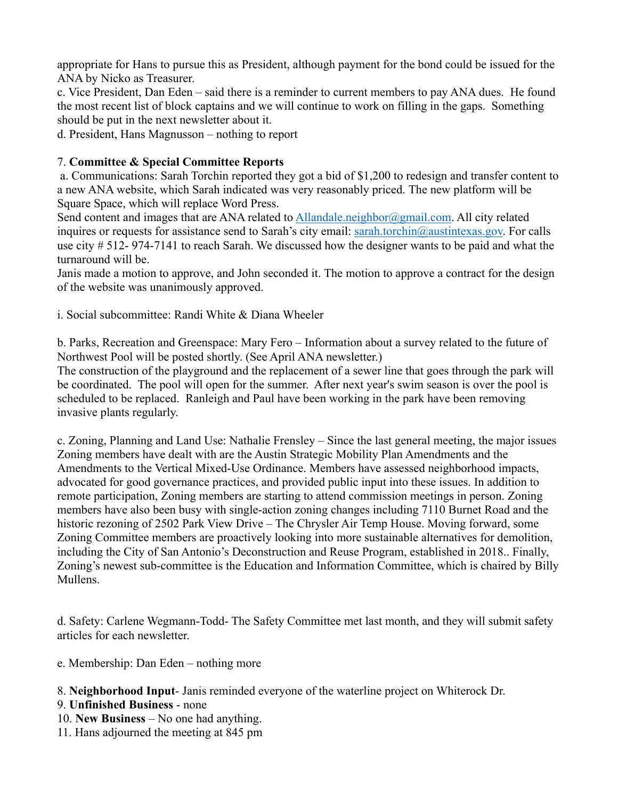appropriate for Hans to pursue this as President, although payment for the bond could be issued for the ANA by Nicko as Treasurer.

c. Vice President, Dan Eden – said there is a reminder to current members to pay ANA dues. He found the most recent list of block captains and we will continue to work on filling in the gaps. Something should be put in the next newsletter about it.

d. President, Hans Magnusson – nothing to report

## 7. **Committee & Special Committee Reports**

a. Communications: Sarah Torchin reported they got a bid of \$1,200 to redesign and transfer content to a new ANA website, which Sarah indicated was very reasonably priced. The new platform will be Square Space, which will replace Word Press.

Send content and images that are ANA related to Allandale.neighbor@gmail.com. All city related inquires or requests for assistance send to Sarah's city email: sarah.torchin@austintexas.gov. For calls use city # 512- 974-7141 to reach Sarah. We discussed how the designer wants to be paid and what the turnaround will be.

Janis made a motion to approve, and John seconded it. The motion to approve a contract for the design of the website was unanimously approved.

i. Social subcommittee: Randi White & Diana Wheeler

b. Parks, Recreation and Greenspace: Mary Fero – Information about a survey related to the future of Northwest Pool will be posted shortly. (See April ANA newsletter.)

The construction of the playground and the replacement of a sewer line that goes through the park will be coordinated. The pool will open for the summer. After next year's swim season is over the pool is scheduled to be replaced. Ranleigh and Paul have been working in the park have been removing invasive plants regularly.

c. Zoning, Planning and Land Use: Nathalie Frensley – Since the last general meeting, the major issues Zoning members have dealt with are the Austin Strategic Mobility Plan Amendments and the Amendments to the Vertical Mixed-Use Ordinance. Members have assessed neighborhood impacts, advocated for good governance practices, and provided public input into these issues. In addition to remote participation, Zoning members are starting to attend commission meetings in person. Zoning members have also been busy with single-action zoning changes including 7110 Burnet Road and the historic rezoning of 2502 Park View Drive – The Chrysler Air Temp House. Moving forward, some Zoning Committee members are proactively looking into more sustainable alternatives for demolition, including the City of San Antonio's Deconstruction and Reuse Program, established in 2018.. Finally, Zoning's newest sub-committee is the Education and Information Committee, which is chaired by Billy Mullens.

d. Safety: Carlene Wegmann-Todd- The Safety Committee met last month, and they will submit safety articles for each newsletter.

- e. Membership: Dan Eden nothing more
- 8. **Neighborhood Input** Janis reminded everyone of the waterline project on Whiterock Dr.
- 9. **Unfinished Business** none
- 10. **New Business** No one had anything.
- 11. Hans adjourned the meeting at 845 pm